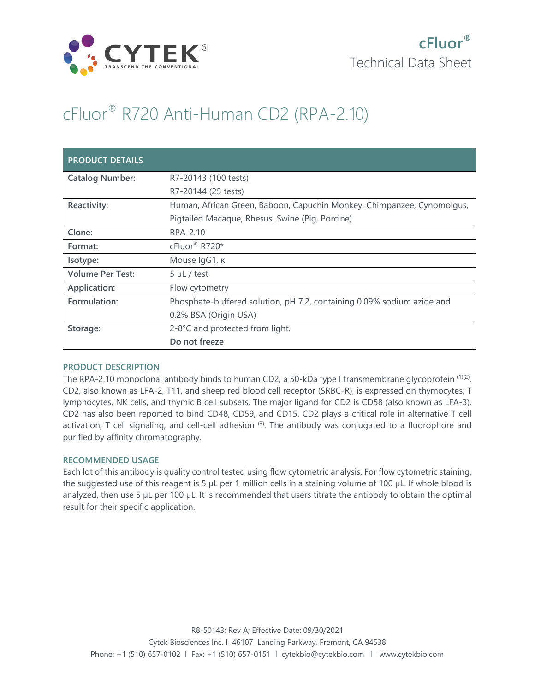

# cFluor® R720 Anti-Human CD2 (RPA-2.10)

| <b>PRODUCT DETAILS</b>  |                                                                        |
|-------------------------|------------------------------------------------------------------------|
| <b>Catalog Number:</b>  | R7-20143 (100 tests)                                                   |
|                         | R7-20144 (25 tests)                                                    |
| Reactivity:             | Human, African Green, Baboon, Capuchin Monkey, Chimpanzee, Cynomolgus, |
|                         | Pigtailed Macaque, Rhesus, Swine (Pig, Porcine)                        |
| Clone:                  | RPA-2.10                                                               |
| Format:                 | cFluor <sup>®</sup> R720*                                              |
| Isotype:                | Mouse IgG1, к                                                          |
| <b>Volume Per Test:</b> | $5 \mu L$ / test                                                       |
| Application:            | Flow cytometry                                                         |
| Formulation:            | Phosphate-buffered solution, pH 7.2, containing 0.09% sodium azide and |
|                         | 0.2% BSA (Origin USA)                                                  |
| Storage:                | 2-8°C and protected from light.                                        |
|                         | Do not freeze                                                          |

## **PRODUCT DESCRIPTION**

The RPA-2.10 monoclonal antibody binds to human CD2, a 50-kDa type I transmembrane glycoprotein <sup>(1)(2)</sup>. CD2, also known as LFA-2, T11, and sheep red blood cell receptor (SRBC-R), is expressed on thymocytes, T lymphocytes, NK cells, and thymic B cell subsets. The major ligand for CD2 is CD58 (also known as LFA-3). CD2 has also been reported to bind CD48, CD59, and CD15. CD2 plays a critical role in alternative T cell activation, T cell signaling, and cell-cell adhesion  $(3)$ . The antibody was conjugated to a fluorophore and purified by affinity chromatography.

## **RECOMMENDED USAGE**

Each lot of this antibody is quality control tested using flow cytometric analysis. For flow cytometric staining, the suggested use of this reagent is 5 µL per 1 million cells in a staining volume of 100 µL. If whole blood is analyzed, then use 5 µL per 100 µL. It is recommended that users titrate the antibody to obtain the optimal result for their specific application.